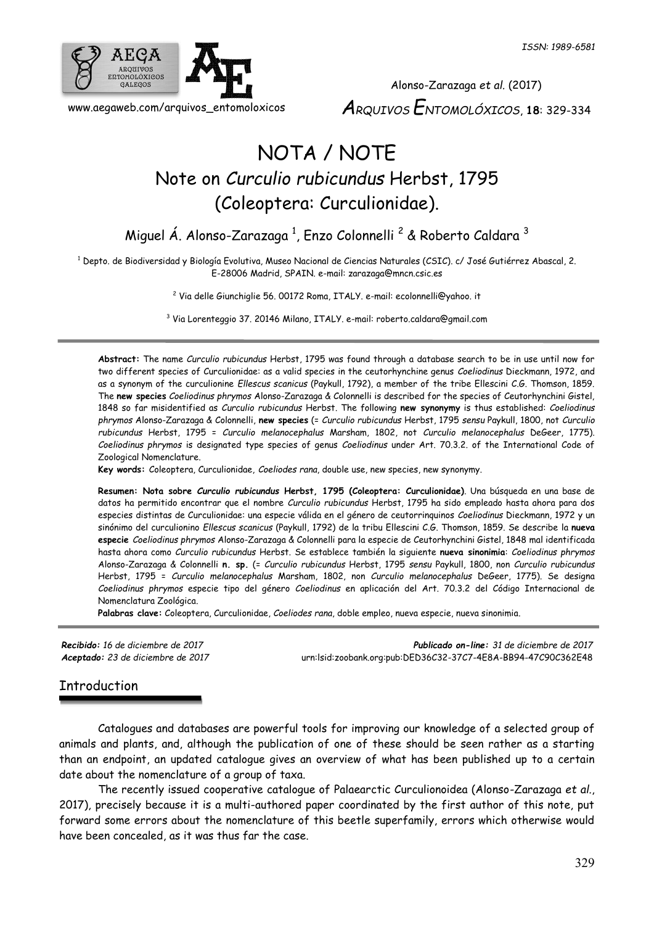

Alonso-Zarazaga *et al.* (2017) *ARQUIVOS ENTOMOLÓXICOS*, **18**: 329-334

# NOTA / NOTE Note on *Curculio rubicundus* Herbst, 1795 (Coleoptera: Curculionidae).

Miguel Á. Alonso-Zarazaga <sup>1</sup>, Enzo Colonnelli <sup>2</sup> & Roberto Caldara <sup>3</sup>

<sup>1</sup> Depto. de Biodiversidad y Biología Evolutiva, Museo Nacional de Ciencias Naturales (CSIC). c/ José Gutiérrez Abascal, 2. E-28006 Madrid, SPAIN. e-mail: zarazaga@mncn.csic.es

<sup>2</sup> Via delle Giunchiglie 56. 00172 Roma, ITALY. e-mail: ecolonnelli@yahoo. it

<sup>3</sup> Via Lorenteggio 37. 20146 Milano, ITALY. e-mail: roberto.caldara@gmail.com

**Abstract:** The name *Curculio rubicundus* Herbst, 1795 was found through a database search to be in use until now for two different species of Curculionidae: as a valid species in the ceutorhynchine genus *Coeliodinus* Dieckmann, 1972, and as a synonym of the curculionine *Ellescus scanicus* (Paykull, 1792), a member of the tribe Ellescini C.G. Thomson, 1859. The **new species** *Coeliodinus phrymos* Alonso-Zarazaga & Colonnelli is described for the species of Ceutorhynchini Gistel, 1848 so far misidentified as *Curculio rubicundus* Herbst. The following **new synonymy** is thus established: *Coeliodinus phrymos* Alonso-Zarazaga & Colonnelli, **new species** (= *Curculio rubicundus* Herbst, 1795 *sensu* Paykull, 1800, not *Curculio rubicundus* Herbst, 1795 = *Curculio melanocephalus* Marsham, 1802, not *Curculio melanocephalus* DeGeer, 1775). *Coeliodinus phrymos* is designated type species of genus *Coeliodinus* under Art. 70.3.2. of the International Code of Zoological Nomenclature.

**Key words:** Coleoptera, Curculionidae, *Coeliodes rana*, double use, new species, new synonymy.

**Resumen: Nota sobre** *Curculio rubicundus* **Herbst, 1795 (Coleoptera: Curculionidae)**. Una búsqueda en una base de datos ha permitido encontrar que el nombre *Curculio rubicundus* Herbst, 1795 ha sido empleado hasta ahora para dos especies distintas de Curculionidae: una especie válida en el género de ceutorrinquinos *Coeliodinus* Dieckmann, 1972 y un sinónimo del curculionino *Ellescus scanicus* (Paykull, 1792) de la tribu Ellescini C.G. Thomson, 1859. Se describe la **nueva especie** *Coeliodinus phrymos* Alonso-Zarazaga & Colonnelli para la especie de Ceutorhynchini Gistel, 1848 mal identificada hasta ahora como *Curculio rubicundus* Herbst. Se establece también la siguiente **nueva sinonimia**: *Coeliodinus phrymos* Alonso-Zarazaga & Colonnelli **n. sp.** (= *Curculio rubicundus* Herbst, 1795 *sensu* Paykull, 1800, non *Curculio rubicundus* Herbst, 1795 = *Curculio melanocephalus* Marsham, 1802, non *Curculio melanocephalus* DeGeer, 1775). Se designa *Coeliodinus phrymos* especie tipo del género *Coeliodinus* en aplicación del Art. 70.3.2 del Código Internacional de Nomenclatura Zoológica.

**Palabras clave:** Coleoptera, Curculionidae, *Coeliodes rana*, doble empleo, nueva especie, nueva sinonimia.

*Recibido: 16 de diciembre de 2017 Publicado on-line: 31 de diciembre de 2017 Aceptado: 23 de diciembre de 2017* [urn:lsid:zoobank.org:pub:DED36C32-37C7-4E8A-BB94-47C90C362E48](http://www.zoobank.org/urn:lsid:zoobank.org:pub:DED36C32-37C7-4E8A-BB94-47C90C362E48)

## Introduction

Catalogues and databases are powerful tools for improving our knowledge of a selected group of animals and plants, and, although the publication of one of these should be seen rather as a starting than an endpoint, an updated catalogue gives an overview of what has been published up to a certain date about the nomenclature of a group of taxa.

The recently issued cooperative catalogue of Palaearctic Curculionoidea (Alonso-Zarazaga *et al.*, 2017), precisely because it is a multi-authored paper coordinated by the first author of this note, put forward some errors about the nomenclature of this beetle superfamily, errors which otherwise would have been concealed, as it was thus far the case.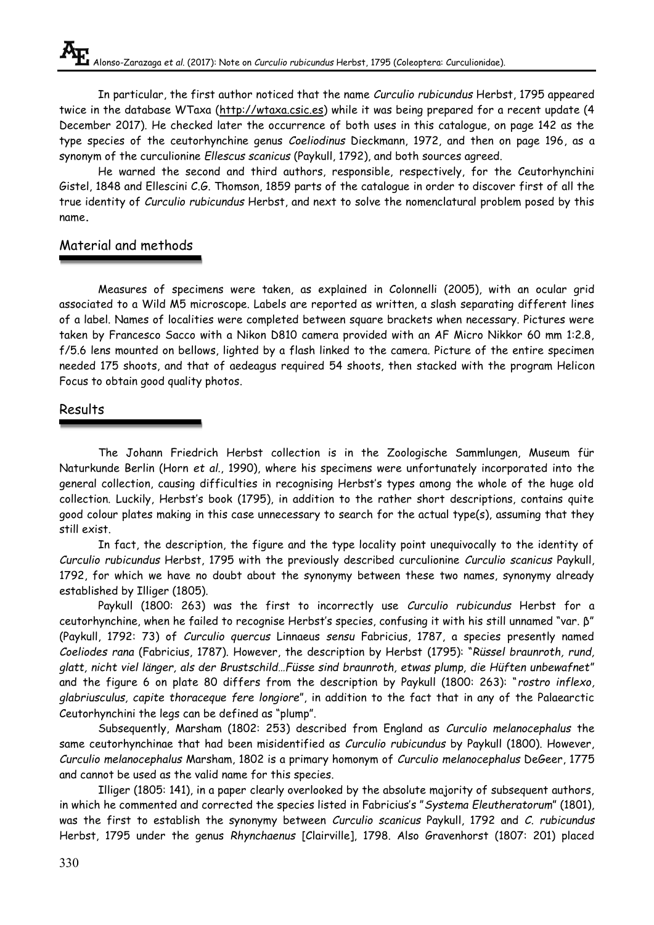In particular, the first author noticed that the name *Curculio rubicundus* Herbst, 1795 appeared twice in the database WTaxa [\(http://wtaxa.csic.es\)](http://wtaxa.csic.es/) while it was being prepared for a recent update (4 December 2017). He checked later the occurrence of both uses in this catalogue, on page 142 as the type species of the ceutorhynchine genus *Coeliodinus* Dieckmann, 1972, and then on page 196, as a synonym of the curculionine *Ellescus scanicus* (Paykull, 1792), and both sources agreed.

He warned the second and third authors, responsible, respectively, for the Ceutorhynchini Gistel, 1848 and Ellescini C.G. Thomson, 1859 parts of the catalogue in order to discover first of all the true identity of *Curculio rubicundus* Herbst, and next to solve the nomenclatural problem posed by this name**.**

# Material and methods

Measures of specimens were taken, as explained in Colonnelli (2005), with an ocular grid associated to a Wild M5 microscope. Labels are reported as written, a slash separating different lines of a label. Names of localities were completed between square brackets when necessary. Pictures were taken by Francesco Sacco with a Nikon D810 camera provided with an AF Micro Nikkor 60 mm 1:2.8, f/5.6 lens mounted on bellows, lighted by a flash linked to the camera. Picture of the entire specimen needed 175 shoots, and that of aedeagus required 54 shoots, then stacked with the program Helicon Focus to obtain good quality photos.

### Results

The Johann Friedrich Herbst collection is in the Zoologische Sammlungen, Museum für Naturkunde Berlin (Horn *et al.*, 1990), where his specimens were unfortunately incorporated into the general collection, causing difficulties in recognising Herbst's types among the whole of the huge old collection. Luckily, Herbst's book (1795), in addition to the rather short descriptions, contains quite good colour plates making in this case unnecessary to search for the actual type(s), assuming that they still exist.

In fact, the description, the figure and the type locality point unequivocally to the identity of *Curculio rubicundus* Herbst, 1795 with the previously described curculionine *Curculio scanicus* Paykull, 1792, for which we have no doubt about the synonymy between these two names, synonymy already established by Illiger (1805).

Paykull (1800: 263) was the first to incorrectly use *Curculio rubicundus* Herbst for a ceutorhynchine, when he failed to recognise Herbst's species, confusing it with his still unnamed "var. β" (Paykull, 1792: 73) of *Curculio quercus* Linnaeus *sensu* Fabricius, 1787, a species presently named *Coeliodes rana* (Fabricius, 1787). However, the description by Herbst (1795): "*Rüssel braunroth, rund, glatt, nicht viel länger, als der Brustschild…Füsse sind braunroth, etwas plump, die Hüften unbewafnet*" and the figure 6 on plate 80 differs from the description by Paykull (1800: 263): "*rostro inflexo, glabriusculus, capite thoraceque fere longiore*", in addition to the fact that in any of the Palaearctic Ceutorhynchini the legs can be defined as "plump".

Subsequently, Marsham (1802: 253) described from England as *Curculio melanocephalus* the same ceutorhynchinae that had been misidentified as *Curculio rubicundus* by Paykull (1800). However, *Curculio melanocephalus* Marsham, 1802 is a primary homonym of *Curculio melanocephalus* DeGeer, 1775 and cannot be used as the valid name for this species.

Illiger (1805: 141), in a paper clearly overlooked by the absolute majority of subsequent authors, in which he commented and corrected the species listed in Fabricius's "*Systema Eleutheratorum*" (1801), was the first to establish the synonymy between *Curculio scanicus* Paykull, 1792 and *C. rubicundus* Herbst, 1795 under the genus *Rhynchaenus* [Clairville], 1798. Also Gravenhorst (1807: 201) placed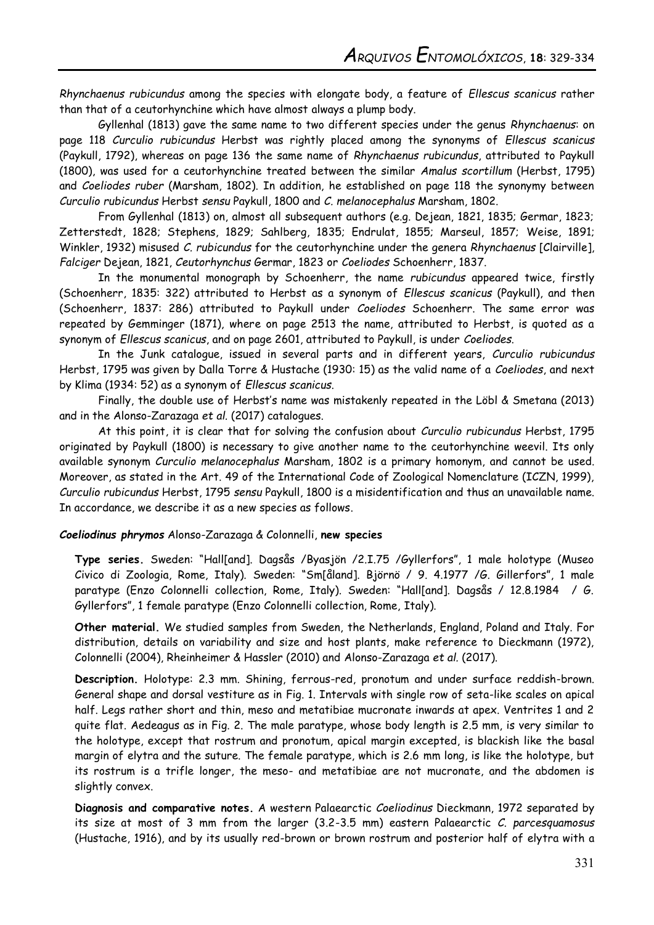*Rhynchaenus rubicundus* among the species with elongate body, a feature of *Ellescus scanicus* rather than that of a ceutorhynchine which have almost always a plump body.

Gyllenhal (1813) gave the same name to two different species under the genus *Rhynchaenus*: on page 118 *Curculio rubicundus* Herbst was rightly placed among the synonyms of *Ellescus scanicus*  (Paykull, 1792), whereas on page 136 the same name of *Rhynchaenus rubicundus*, attributed to Paykull (1800), was used for a ceutorhynchine treated between the similar *Amalus scortillum* (Herbst, 1795) and *Coeliodes ruber* (Marsham, 1802). In addition, he established on page 118 the synonymy between *Curculio rubicundus* Herbst *sensu* Paykull, 1800 and *C. melanocephalus* Marsham, 1802.

From Gyllenhal (1813) on, almost all subsequent authors (e.g. Dejean, 1821, 1835; Germar, 1823; Zetterstedt, 1828; Stephens, 1829; Sahlberg, 1835; Endrulat, 1855; Marseul, 1857; Weise, 1891; Winkler, 1932) misused *C. rubicundus* for the ceutorhynchine under the genera *Rhynchaenus* [Clairville], *Falciger* Dejean, 1821, *Ceutorhynchus* Germar, 1823 or *Coeliodes* Schoenherr, 1837.

In the monumental monograph by Schoenherr, the name *rubicundus* appeared twice, firstly (Schoenherr, 1835: 322) attributed to Herbst as a synonym of *Ellescus scanicus* (Paykull), and then (Schoenherr, 1837: 286) attributed to Paykull under *Coeliodes* Schoenherr. The same error was repeated by Gemminger (1871), where on page 2513 the name, attributed to Herbst, is quoted as a synonym of *Ellescus scanicus*, and on page 2601, attributed to Paykull, is under *Coeliodes*.

In the Junk catalogue, issued in several parts and in different years, *Curculio rubicundus* Herbst, 1795 was given by Dalla Torre & Hustache (1930: 15) as the valid name of a *Coeliodes*, and next by Klima (1934: 52) as a synonym of *Ellescus scanicus*.

Finally, the double use of Herbst's name was mistakenly repeated in the Löbl & Smetana (2013) and in the Alonso-Zarazaga *et al.* (2017) catalogues.

At this point, it is clear that for solving the confusion about *Curculio rubicundus* Herbst, 1795 originated by Paykull (1800) is necessary to give another name to the ceutorhynchine weevil. Its only available synonym *Curculio melanocephalus* Marsham, 1802 is a primary homonym, and cannot be used. Moreover, as stated in the Art. 49 of the International Code of Zoological Nomenclature (ICZN, 1999), *Curculio rubicundus* Herbst, 1795 *sensu* Paykull, 1800 is a misidentification and thus an unavailable name. In accordance, we describe it as a new species as follows.

#### *Coeliodinus phrymos* Alonso-Zarazaga & Colonnelli, **new species**

**Type series.** Sweden: "Hall[and]. Dagsås /Byasjön /2.I.75 /Gyllerfors", 1 male holotype (Museo Civico di Zoologia, Rome, Italy). Sweden: "Sm[åland]. Björnö / 9. 4.1977 /G. Gillerfors", 1 male paratype (Enzo Colonnelli collection, Rome, Italy). Sweden: "Hall[and]. Dagsås / 12.8.1984 / G. Gyllerfors", 1 female paratype (Enzo Colonnelli collection, Rome, Italy).

**Other material.** We studied samples from Sweden, the Netherlands, England, Poland and Italy. For distribution, details on variability and size and host plants, make reference to Dieckmann (1972), Colonnelli (2004), Rheinheimer & Hassler (2010) and Alonso-Zarazaga *et al.* (2017).

**Description.** Holotype: 2.3 mm. Shining, ferrous-red, pronotum and under surface reddish-brown. General shape and dorsal vestiture as in Fig. 1. Intervals with single row of seta-like scales on apical half. Legs rather short and thin, meso and metatibiae mucronate inwards at apex. Ventrites 1 and 2 quite flat. Aedeagus as in Fig. 2. The male paratype, whose body length is 2.5 mm, is very similar to the holotype, except that rostrum and pronotum, apical margin excepted, is blackish like the basal margin of elytra and the suture. The female paratype, which is 2.6 mm long, is like the holotype, but its rostrum is a trifle longer, the meso- and metatibiae are not mucronate, and the abdomen is slightly convex.

**Diagnosis and comparative notes.** A western Palaearctic *Coeliodinus* Dieckmann, 1972 separated by its size at most of 3 mm from the larger (3.2-3.5 mm) eastern Palaearctic *C. parcesquamosus* (Hustache, 1916), and by its usually red-brown or brown rostrum and posterior half of elytra with a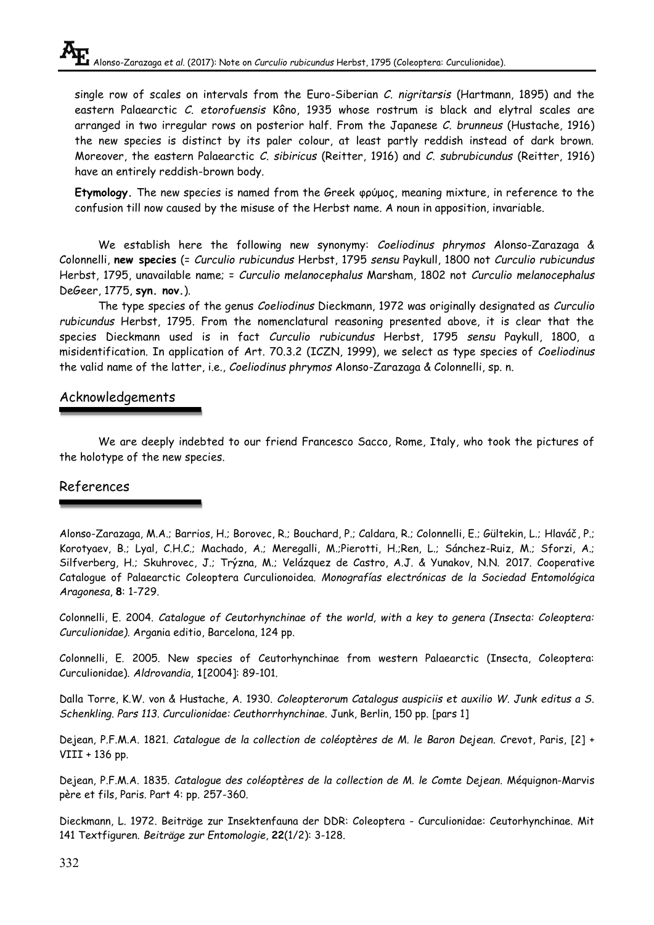single row of scales on intervals from the Euro-Siberian *C. nigritarsis* (Hartmann, 1895) and the eastern Palaearctic *C. etorofuensis* Kôno, 1935 whose rostrum is black and elytral scales are arranged in two irregular rows on posterior half. From the Japanese *C. brunneus* (Hustache, 1916) the new species is distinct by its paler colour, at least partly reddish instead of dark brown. Moreover, the eastern Palaearctic *C. sibiricus* (Reitter, 1916) and *C. subrubicundus* (Reitter, 1916) have an entirely reddish-brown body.

**Etymology.** The new species is named from the Greek φρύμος, meaning mixture, in reference to the confusion till now caused by the misuse of the Herbst name. A noun in apposition, invariable.

We establish here the following new synonymy: *Coeliodinus phrymos* Alonso-Zarazaga & Colonnelli, **new species** (= *Curculio rubicundus* Herbst, 1795 *sensu* Paykull, 1800 not *Curculio rubicundus* Herbst, 1795, unavailable name; = *Curculio melanocephalus* Marsham, 1802 not *Curculio melanocephalus* DeGeer, 1775, **syn. nov.**).

The type species of the genus *Coeliodinus* Dieckmann, 1972 was originally designated as *Curculio rubicundus* Herbst, 1795. From the nomenclatural reasoning presented above, it is clear that the species Dieckmann used is in fact *Curculio rubicundus* Herbst, 1795 *sensu* Paykull, 1800, a misidentification. In application of Art. 70.3.2 (ICZN, 1999), we select as type species of *Coeliodinus* the valid name of the latter, i.e., *Coeliodinus phrymos* Alonso-Zarazaga & Colonnelli, sp. n.

### Acknowledgements

We are deeply indebted to our friend Francesco Sacco, Rome, Italy, who took the pictures of the holotype of the new species.

#### References

Alonso-Zarazaga, M.A.; Barrios, H.; Borovec, R.; Bouchard, P.; Caldara, R.; Colonnelli, E.; Gültekin, L.; Hlaváč, P.; Korotyaev, B.; Lyal, C.H.C.; Machado, A.; Meregalli, M.;Pierotti, H.;Ren, L.; Sánchez-Ruiz, M.; Sforzi, A.; Silfverberg, H.; Skuhrovec, J.; Trýzna, M.; Velázquez de Castro, A.J. & Yunakov, N.N. 2017. Cooperative Catalogue of Palaearctic Coleoptera Curculionoidea. *Monografías electrónicas de la Sociedad Entomológica Aragonesa*, **8**: 1-729.

Colonnelli, E. 2004. *Catalogue of Ceutorhynchinae of the world, with a key to genera (Insecta: Coleoptera: Curculionidae)*. Argania editio, Barcelona, 124 pp.

Colonnelli, E. 2005. New species of Ceutorhynchinae from western Palaearctic (Insecta, Coleoptera: Curculionidae). *Aldrovandia*, **1**[2004]: 89-101.

Dalla Torre, K.W. von & Hustache, A. 1930. *Coleopterorum Catalogus auspiciis et auxilio W. Junk editus a S. Schenkling. Pars 113. Curculionidae: Ceuthorrhynchinae*. Junk, Berlin, 150 pp. [pars 1]

Dejean, P.F.M.A. 1821. *Catalogue de la collection de coléoptères de M. le Baron Dejean*. Crevot, Paris, [2] + VIII + 136 pp.

Dejean, P.F.M.A. 1835. *Catalogue des coléoptères de la collection de M. le Comte Dejean*. Méquignon-Marvis père et fils, Paris. Part 4: pp. 257-360.

Dieckmann, L. 1972. Beiträge zur Insektenfauna der DDR: Coleoptera - Curculionidae: Ceutorhynchinae. Mit 141 Textfiguren. *Beiträge zur Entomologie*, **22**(1/2): 3-128.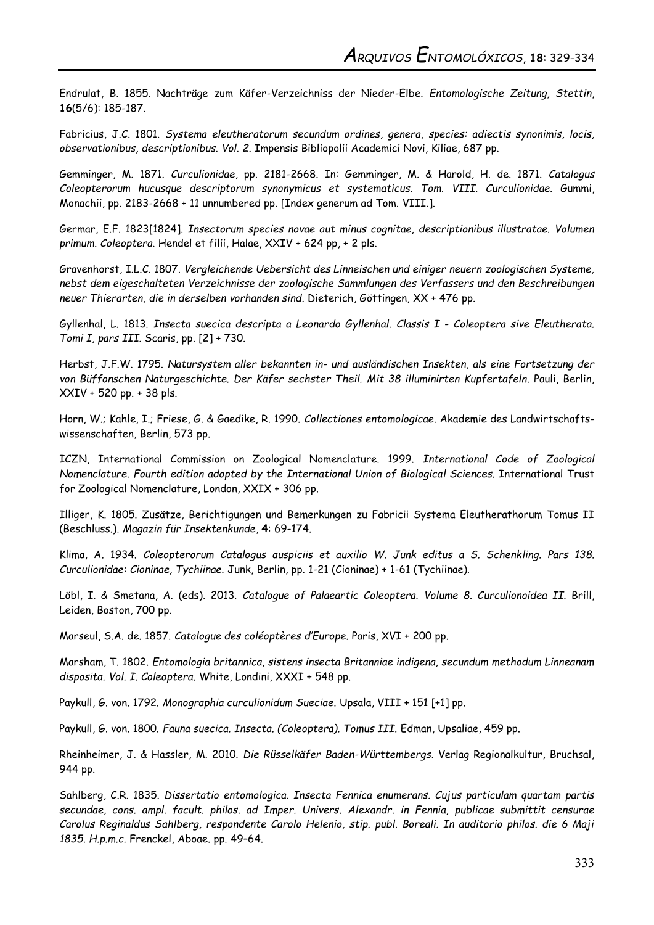Endrulat, B. 1855. Nachträge zum Käfer-Verzeichniss der Nieder-Elbe. *Entomologische Zeitung, Stettin*, **16**(5/6): 185-187.

Fabricius, J.C. 1801. *Systema eleutheratorum secundum ordines, genera, species: adiectis synonimis, locis, observationibus, descriptionibus. Vol. 2*. Impensis Bibliopolii Academici Novi, Kiliae, 687 pp.

Gemminger, M. 1871. *Curculionidae*, pp. 2181-2668. In: Gemminger, M. & Harold, H. de. 1871. *Catalogus Coleopterorum hucusque descriptorum synonymicus et systematicus. Tom. VIII. Curculionidae*. Gummi, Monachii, pp. 2183-2668 + 11 unnumbered pp. [Index generum ad Tom. VIII.].

Germar, E.F. 1823[1824]. *Insectorum species novae aut minus cognitae, descriptionibus illustratae. Volumen primum. Coleoptera*. Hendel et filii, Halae, XXIV + 624 pp, + 2 pls.

Gravenhorst, I.L.C. 1807. *Vergleichende Uebersicht des Linneischen und einiger neuern zoologischen Systeme, nebst dem eigeschalteten Verzeichnisse der zoologische Sammlungen des Verfassers und den Beschreibungen neuer Thierarten, die in derselben vorhanden sind*. Dieterich, Göttingen, XX + 476 pp.

Gyllenhal, L. 1813. *Insecta suecica descripta a Leonardo Gyllenhal. Classis I - Coleoptera sive Eleutherata. Tomi I, pars III*. Scaris, pp. [2] + 730.

Herbst, J.F.W. 1795. *Natursystem aller bekannten in- und ausländischen Insekten, als eine Fortsetzung der von Büffonschen Naturgeschichte. Der Käfer sechster Theil. Mit 38 illuminirten Kupfertafeln*. Pauli, Berlin, XXIV + 520 pp. + 38 pls.

Horn, W.; Kahle, I.; Friese, G. & Gaedike, R. 1990. *Collectiones entomologicae*. Akademie des Landwirtschaftswissenschaften, Berlin, 573 pp.

ICZN, International Commission on Zoological Nomenclature. 1999. *International Code of Zoological Nomenclature. Fourth edition adopted by the International Union of Biological Sciences*. International Trust for Zoological Nomenclature, London, XXIX + 306 pp.

Illiger, K. 1805. Zusätze, Berichtigungen und Bemerkungen zu Fabricii Systema Eleutherathorum Tomus II (Beschluss.). *Magazin für Insektenkunde*, **4**: 69-174.

Klima, A. 1934. *Coleopterorum Catalogus auspiciis et auxilio W. Junk editus a S. Schenkling. Pars 138. Curculionidae: Cioninae, Tychiinae*. Junk, Berlin, pp. 1-21 (Cioninae) + 1-61 (Tychiinae).

Löbl, I. & Smetana, A. (eds). 2013. *Catalogue of Palaeartic Coleoptera. Volume 8. Curculionoidea II*. Brill, Leiden, Boston, 700 pp.

Marseul, S.A. de. 1857. *Catalogue des coléoptères d'Europe*. Paris, XVI + 200 pp.

Marsham, T. 1802. *Entomologia britannica, sistens insecta Britanniae indigena, secundum methodum Linneanam disposita. Vol. I. Coleoptera*. White, Londini, XXXI + 548 pp.

Paykull, G. von. 1792. *Monographia curculionidum Sueciae*. Upsala, VIII + 151 [+1] pp.

Paykull, G. von. 1800. *Fauna suecica. Insecta. (Coleoptera). Tomus III*. Edman, Upsaliae, 459 pp.

Rheinheimer, J. & Hassler, M. 2010. *Die Rüsselkäfer Baden-Württembergs*. Verlag Regionalkultur, Bruchsal, 944 pp.

Sahlberg, C.R. 1835. *Dissertatio entomologica. Insecta Fennica enumerans. Cujus particulam quartam partis secundae, cons. ampl. facult. philos. ad Imper. Univers. Alexandr. in Fennia, publicae submittit censurae Carolus Reginaldus Sahlberg, respondente Carolo Helenio, stip. publ. Boreali. In auditorio philos. die 6 Maji 1835. H.p.m.c.* Frenckel, Aboae. pp. 49–64.